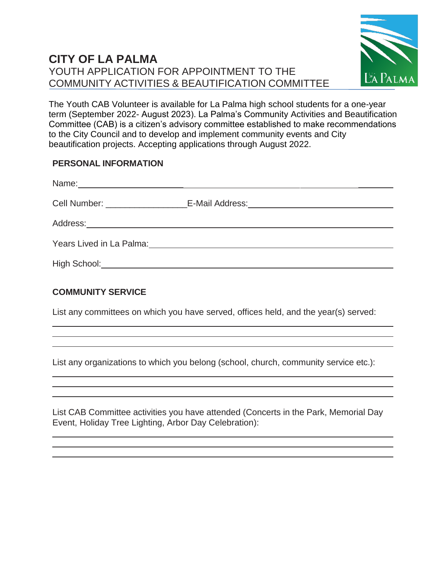# **CITY OF LA PALMA** YOUTH APPLICATION FOR APPOINTMENT TO THE COMMUNITY ACTIVITIES & BEAUTIFICATION COMMITTEE



The Youth CAB Volunteer is available for La Palma high school students for a one-year term (September 2022- August 2023). La Palma's Community Activities and Beautification Committee (CAB) is a citizen's advisory committee established to make recommendations to the City Council and to develop and implement community events and City beautification projects. Accepting applications through August 2022.

# **PERSONAL INFORMATION**

|                                                                                                                                                                                                                                | Years Lived in La Palma: Vear Manual Annual Annual Annual Annual Annual Annual Annual Annual Annual Annual Annu |
|--------------------------------------------------------------------------------------------------------------------------------------------------------------------------------------------------------------------------------|-----------------------------------------------------------------------------------------------------------------|
| High School: Night School: Night School: Night School: Night School: Night School: Night School: Night School: Night School: Night School: Night School: Night School: Night School: Night School: Night School: Night School: |                                                                                                                 |

# **COMMUNITY SERVICE**

List any committees on which you have served, offices held, and the year(s) served:

List any organizations to which you belong (school, church, community service etc.):

List CAB Committee activities you have attended (Concerts in the Park, Memorial Day Event, Holiday Tree Lighting, Arbor Day Celebration):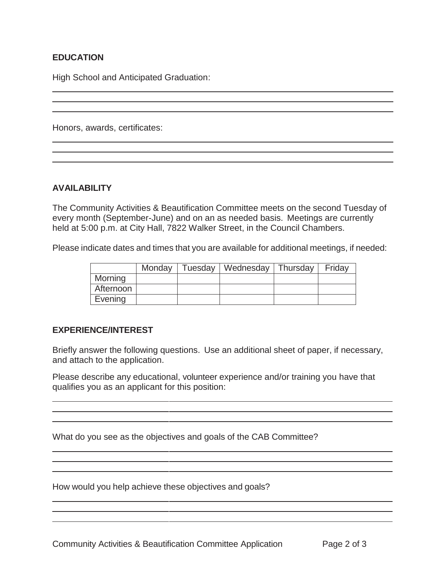## **EDUCATION**

High School and Anticipated Graduation:

Honors, awards, certificates:

#### **AVAILABILITY**

The Community Activities & Beautification Committee meets on the second Tuesday of every month (September-June) and on an as needed basis. Meetings are currently held at 5:00 p.m. at City Hall, 7822 Walker Street, in the Council Chambers.

Please indicate dates and times that you are available for additional meetings, if needed:

|           | Monday | Tuesday   Wednesday   Thursday | Fridav |
|-----------|--------|--------------------------------|--------|
| Morning   |        |                                |        |
| Afternoon |        |                                |        |
| Evening   |        |                                |        |

### **EXPERIENCE/INTEREST**

Briefly answer the following questions. Use an additional sheet of paper, if necessary, and attach to the application.

Please describe any educational, volunteer experience and/or training you have that qualifies you as an applicant for this position:

<u> 1989 - Johann Stoff, amerikansk politiker (\* 1908)</u>

What do you see as the objectives and goals of the CAB Committee?

How would you help achieve these objectives and goals?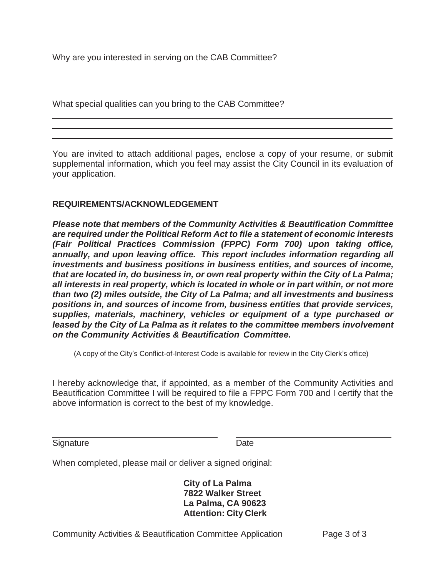Why are you interested in serving on the CAB Committee?

What special qualities can you bring to the CAB Committee?

You are invited to attach additional pages, enclose a copy of your resume, or submit supplemental information, which you feel may assist the City Council in its evaluation of your application.

#### **REQUIREMENTS/ACKNOWLEDGEMENT**

*Please note that members of the Community Activities & Beautification Committee are required under the Political Reform Act to file a statement of economic interests (Fair Political Practices Commission (FPPC) Form 700) upon taking office, annually, and upon leaving office. This report includes information regarding all investments and business positions in business entities, and sources of income, that are located in, do business in, or own real property within the City of La Palma; all interests in real property, which is located in whole or in part within, or not more than two (2) miles outside, the City of La Palma; and all investments and business positions in, and sources of income from, business entities that provide services, supplies, materials, machinery, vehicles or equipment of a type purchased or leased by the City of La Palma as it relates to the committee members involvement on the Community Activities & Beautification Committee.*

(A copy of the City's Conflict-of-Interest Code is available for review in the City Clerk's office)

I hereby acknowledge that, if appointed, as a member of the Community Activities and Beautification Committee I will be required to file a FPPC Form 700 and I certify that the above information is correct to the best of my knowledge.

| Signature | Date |
|-----------|------|
|           |      |

When completed, please mail or deliver a signed original:

**City of La Palma 7822 Walker Street La Palma, CA 90623 Attention: City Clerk**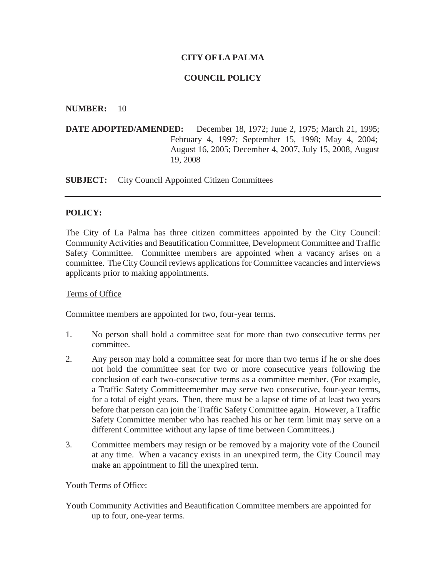### **CITY OF LA PALMA**

#### **COUNCIL POLICY**

#### **NUMBER:** 10

**DATE ADOPTED/AMENDED:** December 18, 1972; June 2, 1975; March 21, 1995; February 4, 1997; September 15, 1998; May 4, 2004; August 16, 2005; December 4, 2007, July 15, 2008, August 19, 2008

**SUBJECT:** City Council Appointed Citizen Committees

#### **POLICY:**

The City of La Palma has three citizen committees appointed by the City Council: Community Activities and Beautification Committee, Development Committee and Traffic Safety Committee. Committee members are appointed when a vacancy arises on a committee. The City Council reviews applications for Committee vacancies and interviews applicants prior to making appointments.

#### Terms of Office

Committee members are appointed for two, four-year terms.

- 1. No person shall hold a committee seat for more than two consecutive terms per committee.
- 2. Any person may hold a committee seat for more than two terms if he or she does not hold the committee seat for two or more consecutive years following the conclusion of each two-consecutive terms as a committee member. (For example, a Traffic Safety Committeemember may serve two consecutive, four-year terms, for a total of eight years. Then, there must be a lapse of time of at least two years before that person can join the Traffic Safety Committee again. However, a Traffic Safety Committee member who has reached his or her term limit may serve on a different Committee without any lapse of time between Committees.)
- 3. Committee members may resign or be removed by a majority vote of the Council at any time. When a vacancy exists in an unexpired term, the City Council may make an appointment to fill the unexpired term.

Youth Terms of Office:

Youth Community Activities and Beautification Committee members are appointed for up to four, one-year terms.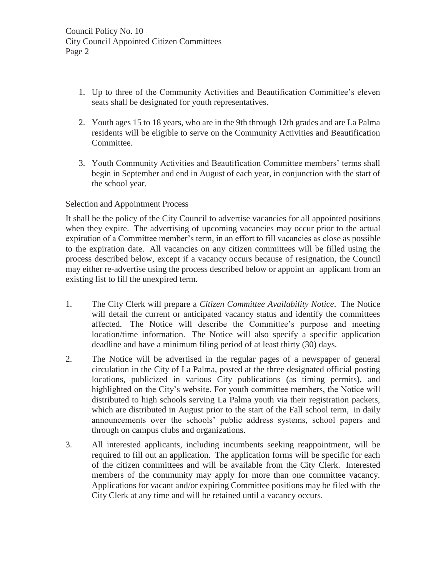- 1. Up to three of the Community Activities and Beautification Committee's eleven seats shall be designated for youth representatives.
- 2. Youth ages 15 to 18 years, who are in the 9th through 12th grades and are La Palma residents will be eligible to serve on the Community Activities and Beautification Committee.
- 3. Youth Community Activities and Beautification Committee members' terms shall begin in September and end in August of each year, in conjunction with the start of the school year.

#### Selection and Appointment Process

It shall be the policy of the City Council to advertise vacancies for all appointed positions when they expire. The advertising of upcoming vacancies may occur prior to the actual expiration of a Committee member's term, in an effort to fill vacancies as close as possible to the expiration date. All vacancies on any citizen committees will be filled using the process described below, except if a vacancy occurs because of resignation, the Council may either re-advertise using the process described below or appoint an applicant from an existing list to fill the unexpired term.

- 1. The City Clerk will prepare a *Citizen Committee Availability Notice*. The Notice will detail the current or anticipated vacancy status and identify the committees affected. The Notice will describe the Committee's purpose and meeting location/time information. The Notice will also specify a specific application deadline and have a minimum filing period of at least thirty (30) days.
- 2. The Notice will be advertised in the regular pages of a newspaper of general circulation in the City of La Palma, posted at the three designated official posting locations, publicized in various City publications (as timing permits), and highlighted on the City's website. For youth committee members, the Notice will distributed to high schools serving La Palma youth via their registration packets, which are distributed in August prior to the start of the Fall school term, in daily announcements over the schools' public address systems, school papers and through on campus clubs and organizations.
- 3. All interested applicants, including incumbents seeking reappointment, will be required to fill out an application. The application forms will be specific for each of the citizen committees and will be available from the City Clerk. Interested members of the community may apply for more than one committee vacancy. Applications for vacant and/or expiring Committee positions may be filed with the City Clerk at any time and will be retained until a vacancy occurs.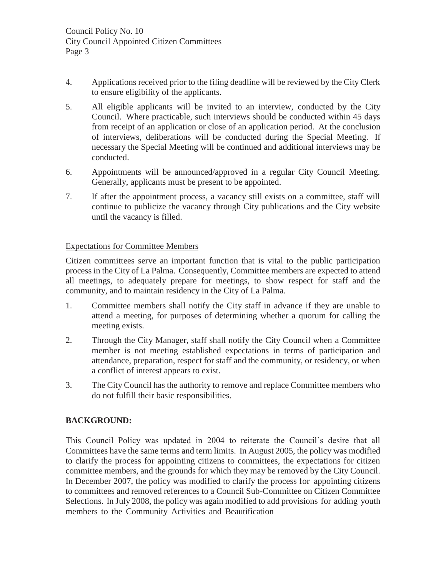- 4. Applications received prior to the filing deadline will be reviewed by the City Clerk to ensure eligibility of the applicants.
- 5. All eligible applicants will be invited to an interview, conducted by the City Council. Where practicable, such interviews should be conducted within 45 days from receipt of an application or close of an application period. At the conclusion of interviews, deliberations will be conducted during the Special Meeting. If necessary the Special Meeting will be continued and additional interviews may be conducted.
- 6. Appointments will be announced/approved in a regular City Council Meeting. Generally, applicants must be present to be appointed.
- 7. If after the appointment process, a vacancy still exists on a committee, staff will continue to publicize the vacancy through City publications and the City website until the vacancy is filled.

### Expectations for Committee Members

Citizen committees serve an important function that is vital to the public participation process in the City of La Palma. Consequently, Committee members are expected to attend all meetings, to adequately prepare for meetings, to show respect for staff and the community, and to maintain residency in the City of La Palma.

- 1. Committee members shall notify the City staff in advance if they are unable to attend a meeting, for purposes of determining whether a quorum for calling the meeting exists.
- 2. Through the City Manager, staff shall notify the City Council when a Committee member is not meeting established expectations in terms of participation and attendance, preparation, respect for staff and the community, or residency, or when a conflict of interest appears to exist.
- 3. The City Council has the authority to remove and replace Committee members who do not fulfill their basic responsibilities.

### **BACKGROUND:**

This Council Policy was updated in 2004 to reiterate the Council's desire that all Committees have the same terms and term limits. In August 2005, the policy was modified to clarify the process for appointing citizens to committees, the expectations for citizen committee members, and the grounds for which they may be removed by the City Council. In December 2007, the policy was modified to clarify the process for appointing citizens to committees and removed references to a Council Sub-Committee on Citizen Committee Selections. In July 2008, the policy was again modified to add provisions for adding youth members to the Community Activities and Beautification